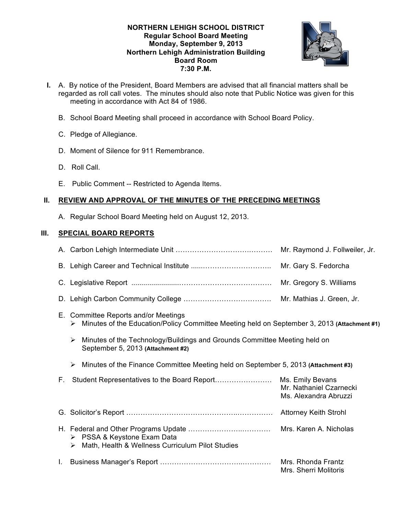### **NORTHERN LEHIGH SCHOOL DISTRICT Regular School Board Meeting Monday, September 9, 2013 Northern Lehigh Administration Building Board Room 7:30 P.M.**



- **I.** A. By notice of the President, Board Members are advised that all financial matters shall be regarded as roll call votes. The minutes should also note that Public Notice was given for this meeting in accordance with Act 84 of 1986.
	- B. School Board Meeting shall proceed in accordance with School Board Policy.
	- C. Pledge of Allegiance.
	- D. Moment of Silence for 911 Remembrance.
	- D. Roll Call.
	- E. Public Comment -- Restricted to Agenda Items.

# **II. REVIEW AND APPROVAL OF THE MINUTES OF THE PRECEDING MEETINGS**

A. Regular School Board Meeting held on August 12, 2013.

# **III. SPECIAL BOARD REPORTS**

|    |                                                                                                                                          | Mr. Raymond J. Follweiler, Jr.                                       |
|----|------------------------------------------------------------------------------------------------------------------------------------------|----------------------------------------------------------------------|
|    |                                                                                                                                          | Mr. Gary S. Fedorcha                                                 |
|    |                                                                                                                                          | Mr. Gregory S. Williams                                              |
|    |                                                                                                                                          | Mr. Mathias J. Green, Jr.                                            |
|    | E. Committee Reports and/or Meetings<br>Minutes of the Education/Policy Committee Meeting held on September 3, 2013 (Attachment #1)<br>➤ |                                                                      |
|    | Minutes of the Technology/Buildings and Grounds Committee Meeting held on<br>➤<br>September 5, 2013 (Attachment #2)                      |                                                                      |
|    | Minutes of the Finance Committee Meeting held on September 5, 2013 (Attachment #3)<br>➤                                                  |                                                                      |
| F. |                                                                                                                                          | Ms. Emily Bevans<br>Mr. Nathaniel Czarnecki<br>Ms. Alexandra Abruzzi |
|    |                                                                                                                                          | <b>Attorney Keith Strohl</b>                                         |
|    | $\triangleright$ PSSA & Keystone Exam Data<br>Math, Health & Wellness Curriculum Pilot Studies<br>➤                                      | Mrs. Karen A. Nicholas                                               |
| L. |                                                                                                                                          | Mrs. Rhonda Frantz<br>Mrs. Sherri Molitoris                          |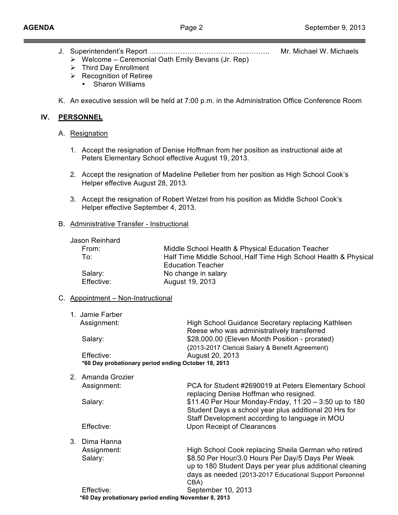- J. Superintendent's Report ………………………………….……….. Mr. Michael W. Michaels
	- $\triangleright$  Welcome Ceremonial Oath Emily Bevans (Jr. Rep)
	- $\triangleright$  Third Day Enrollment
	- $\triangleright$  Recognition of Retiree
		- Sharon Williams
- K. An executive session will be held at 7:00 p.m. in the Administration Office Conference Room

# **IV. PERSONNEL**

- A. Resignation
	- 1. Accept the resignation of Denise Hoffman from her position as instructional aide at Peters Elementary School effective August 19, 2013.
	- 2. Accept the resignation of Madeline Pelletier from her position as High School Cook's Helper effective August 28, 2013.
	- 3. Accept the resignation of Robert Wetzel from his position as Middle School Cook's Helper effective September 4, 2013.

## B. Administrative Transfer - Instructional

| Jason Reinhard |                                                                  |
|----------------|------------------------------------------------------------------|
| From:          | Middle School Health & Physical Education Teacher                |
| To:            | Half Time Middle School, Half Time High School Health & Physical |
|                | <b>Education Teacher</b>                                         |
| Salary:        | No change in salary                                              |
| Effective:     | August 19, 2013                                                  |
|                |                                                                  |

## C. Appointment – Non-Instructional

| Assignment:<br>High School Guidance Secretary replacing Kathleen |  |
|------------------------------------------------------------------|--|
| Reese who was administratively transferred                       |  |
| \$28,000.00 (Eleven Month Position - prorated)<br>Salary:        |  |
| (2013-2017 Clerical Salary & Benefit Agreement)                  |  |
| August 20, 2013<br>Effective:                                    |  |
| *60 Day probationary period ending October 18, 2013              |  |

2. Amanda Grozier

|                                                     | Assignment: | PCA for Student #2690019 at Peters Elementary School<br>replacing Denise Hoffman who resigned.                                                                                   |
|-----------------------------------------------------|-------------|----------------------------------------------------------------------------------------------------------------------------------------------------------------------------------|
|                                                     | Salary:     | \$11.40 Per Hour Monday-Friday, 11:20 - 3:50 up to 180<br>Student Days a school year plus additional 20 Hrs for                                                                  |
|                                                     | Effective:  | Staff Development according to language in MOU<br>Upon Receipt of Clearances                                                                                                     |
| 3.                                                  | Dima Hanna  |                                                                                                                                                                                  |
|                                                     | Assignment: | High School Cook replacing Sheila German who retired                                                                                                                             |
|                                                     | Salary:     | \$8.50 Per Hour/3.0 Hours Per Day/5 Days Per Week<br>up to 180 Student Days per year plus additional cleaning<br>days as needed (2013-2017 Educational Support Personnel<br>CBA) |
|                                                     | Effective:  | September 10, 2013                                                                                                                                                               |
| *60 Day probationary period ending November 8, 2013 |             |                                                                                                                                                                                  |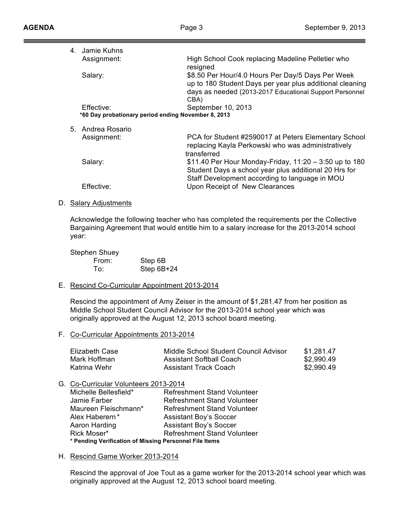| 4. Jamie Kuhns                                      |                                                                                                                                                                                  |
|-----------------------------------------------------|----------------------------------------------------------------------------------------------------------------------------------------------------------------------------------|
| Assignment:                                         | High School Cook replacing Madeline Pelletier who<br>resigned                                                                                                                    |
| Salary:                                             | \$8.50 Per Hour/4.0 Hours Per Day/5 Days Per Week<br>up to 180 Student Days per year plus additional cleaning<br>days as needed (2013-2017 Educational Support Personnel<br>CBA) |
| Effective:                                          | September 10, 2013                                                                                                                                                               |
| *60 Day probationary period ending November 8, 2013 |                                                                                                                                                                                  |
| 5. Andrea Rosario                                   |                                                                                                                                                                                  |
| Assignment:                                         | PCA for Student #2590017 at Peters Elementary School<br>replacing Kayla Perkowski who was administratively<br>transferred                                                        |
| Salary:                                             | \$11.40 Per Hour Monday-Friday, 11:20 - 3:50 up to 180<br>Student Days a school year plus additional 20 Hrs for<br>Staff Development according to language in MOU                |
| Effective:                                          | Upon Receipt of New Clearances                                                                                                                                                   |

D. Salary Adjustments

Acknowledge the following teacher who has completed the requirements per the Collective Bargaining Agreement that would entitle him to a salary increase for the 2013-2014 school year:

| Stephen Shuey |            |
|---------------|------------|
| From:         | Step 6B    |
| To:           | Step 6B+24 |

E. Rescind Co-Curricular Appointment 2013-2014

Rescind the appointment of Amy Zeiser in the amount of \$1,281.47 from her position as Middle School Student Council Advisor for the 2013-2014 school year which was originally approved at the August 12, 2013 school board meeting.

F. Co-Curricular Appointments 2013-2014

| Elizabeth Case | Middle School Student Council Advisor | \$1,281.47 |
|----------------|---------------------------------------|------------|
| Mark Hoffman   | Assistant Softball Coach              | \$2,990.49 |
| Katrina Wehr   | Assistant Track Coach                 | \$2,990.49 |

G. Co-Curricular Volunteers 2013-2014

| Michelle Bellesfield*                                  | <b>Refreshment Stand Volunteer</b> |  |
|--------------------------------------------------------|------------------------------------|--|
| Jamie Farber                                           | <b>Refreshment Stand Volunteer</b> |  |
| Maureen Fleischmann*                                   | <b>Refreshment Stand Volunteer</b> |  |
| Alex Haberern*                                         | <b>Assistant Boy's Soccer</b>      |  |
| Aaron Harding                                          | <b>Assistant Boy's Soccer</b>      |  |
| Rick Moser*                                            | <b>Refreshment Stand Volunteer</b> |  |
| * Pending Verification of Missing Personnel File Items |                                    |  |

H. Rescind Game Worker 2013-2014

Rescind the approval of Joe Tout as a game worker for the 2013-2014 school year which was originally approved at the August 12, 2013 school board meeting.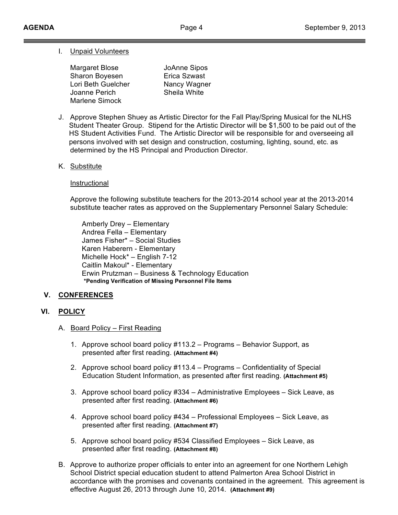# I. Unpaid Volunteers

Margaret Blose JoAnne Sipos Sharon Boyesen **Erica Szwast** Lori Beth Guelcher Nancy Wagner Joanne Perich Sheila White Marlene Simock

- J. Approve Stephen Shuey as Artistic Director for the Fall Play/Spring Musical for the NLHS Student Theater Group. Stipend for the Artistic Director will be \$1,500 to be paid out of the HS Student Activities Fund. The Artistic Director will be responsible for and overseeing all persons involved with set design and construction, costuming, lighting, sound, etc. as determined by the HS Principal and Production Director.
- K. Substitute

### Instructional

Approve the following substitute teachers for the 2013-2014 school year at the 2013-2014 substitute teacher rates as approved on the Supplementary Personnel Salary Schedule:

Amberly Drey – Elementary Andrea Fella – Elementary James Fisher\* – Social Studies Karen Haberern - Elementary Michelle Hock\* – English 7-12 Caitlin Makoul\* - Elementary Erwin Prutzman – Business & Technology Education **\*Pending Verification of Missing Personnel File Items**

## **V. CONFERENCES**

## **VI. POLICY**

- A. Board Policy First Reading
	- 1. Approve school board policy #113.2 Programs Behavior Support, as presented after first reading. **(Attachment #4)**
	- 2. Approve school board policy #113.4 Programs Confidentiality of Special Education Student Information, as presented after first reading. **(Attachment #5)**
	- 3. Approve school board policy #334 Administrative Employees Sick Leave, as presented after first reading. **(Attachment #6)**
	- 4. Approve school board policy #434 Professional Employees Sick Leave, as presented after first reading. **(Attachment #7)**
	- 5. Approve school board policy #534 Classified Employees Sick Leave, as presented after first reading. **(Attachment #8)**
- B. Approve to authorize proper officials to enter into an agreement for one Northern Lehigh School District special education student to attend Palmerton Area School District in accordance with the promises and covenants contained in the agreement. This agreement is effective August 26, 2013 through June 10, 2014. **(Attachment #9)**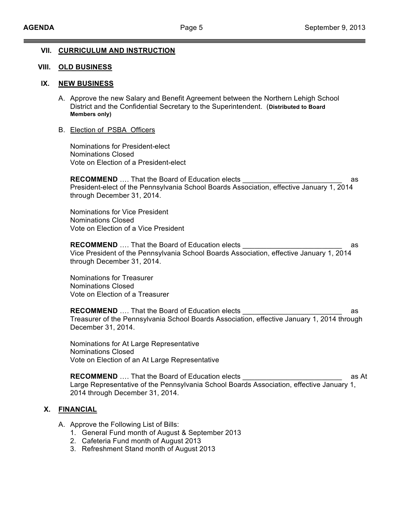### **VII. CURRICULUM AND INSTRUCTION**

### **VIII. OLD BUSINESS**

### **IX. NEW BUSINESS**

- A. Approve the new Salary and Benefit Agreement between the Northern Lehigh School District and the Confidential Secretary to the Superintendent. (**Distributed to Board Members only)**
- B. Election of PSBA Officers

Nominations for President-elect Nominations Closed Vote on Election of a President-elect

**RECOMMEND** .... That the Board of Education elects **Example 20** as President-elect of the Pennsylvania School Boards Association, effective January 1, 2014 through December 31, 2014.

Nominations for Vice President Nominations Closed Vote on Election of a Vice President

**RECOMMEND** .... That the Board of Education elects Vice President of the Pennsylvania School Boards Association, effective January 1, 2014 through December 31, 2014.

Nominations for Treasurer Nominations Closed Vote on Election of a Treasurer

**RECOMMEND** .... That the Board of Education elects **Example 20** as Treasurer of the Pennsylvania School Boards Association, effective January 1, 2014 through December 31, 2014.

Nominations for At Large Representative Nominations Closed Vote on Election of an At Large Representative

**RECOMMEND** …. That the Board of Education elects \_\_\_\_\_\_\_\_\_\_\_\_\_\_\_\_\_\_\_\_\_\_\_\_\_ as At Large Representative of the Pennsylvania School Boards Association, effective January 1, 2014 through December 31, 2014.

## **X. FINANCIAL**

- A. Approve the Following List of Bills:
	- 1. General Fund month of August & September 2013
	- 2. Cafeteria Fund month of August 2013
	- 3. Refreshment Stand month of August 2013